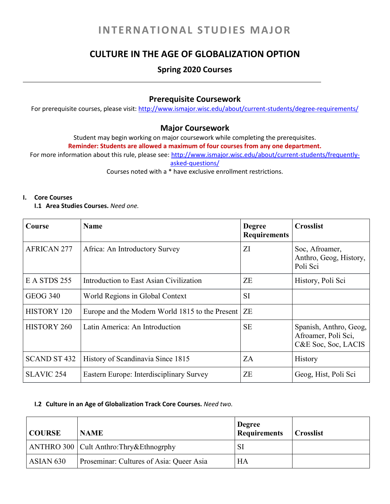# **INTERNATIONAL STUDIES MAJOR**

## **CULTURE IN THE AGE OF GLOBALIZATION OPTION**

### **Spring 2020 Courses**

### **Prerequisite Coursework**

For prerequisite courses, please visit: <http://www.ismajor.wisc.edu/about/current-students/degree-requirements/>

### **Major Coursework**

Student may begin working on major coursework while completing the prerequisites.

**Reminder: Students are allowed a maximum of four courses from any one department.**

For more information about this rule, please see: [http://www.ismajor.wisc.edu/about/current-students/frequently](http://www.ismajor.wisc.edu/about/current-students/frequently-asked-questions/)[asked-questions/](http://www.ismajor.wisc.edu/about/current-students/frequently-asked-questions/)

Courses noted with a \* have exclusive enrollment restrictions.

#### **I. Core Courses**

#### **I.1 Area Studies Courses.** *Need one.*

| Course              | <b>Name</b>                                     | <b>Degree</b><br><b>Requirements</b> | <b>Crosslist</b>                                                     |
|---------------------|-------------------------------------------------|--------------------------------------|----------------------------------------------------------------------|
| <b>AFRICAN 277</b>  | Africa: An Introductory Survey                  | ΖI                                   | Soc, Afroamer,<br>Anthro, Geog, History,<br>Poli Sci                 |
| E A STDS 255        | Introduction to East Asian Civilization         | ZE                                   | History, Poli Sci                                                    |
| <b>GEOG 340</b>     | World Regions in Global Context                 | <b>SI</b>                            |                                                                      |
| <b>HISTORY 120</b>  | Europe and the Modern World 1815 to the Present | <b>ZE</b>                            |                                                                      |
| <b>HISTORY 260</b>  | Latin America: An Introduction                  | <b>SE</b>                            | Spanish, Anthro, Geog,<br>Afroamer, Poli Sci,<br>C&E Soc, Soc, LACIS |
| <b>SCAND ST 432</b> | History of Scandinavia Since 1815               | ZA                                   | History                                                              |
| <b>SLAVIC 254</b>   | Eastern Europe: Interdisciplinary Survey        | ZΕ                                   | Geog, Hist, Poli Sci                                                 |

#### **I.2 Culture in an Age of Globalization Track Core Courses.** *Need two.*

| <b>COURSE</b>        | <b>NAME</b>                               | <b>Degree</b><br><b>Requirements</b> | <b>Crosslist</b> |
|----------------------|-------------------------------------------|--------------------------------------|------------------|
|                      | ANTHRO 300   Cult Anthro: Thry&Ethnogrphy | SI                                   |                  |
| ASIAN <sub>630</sub> | Proseminar: Cultures of Asia: Queer Asia  | HA                                   |                  |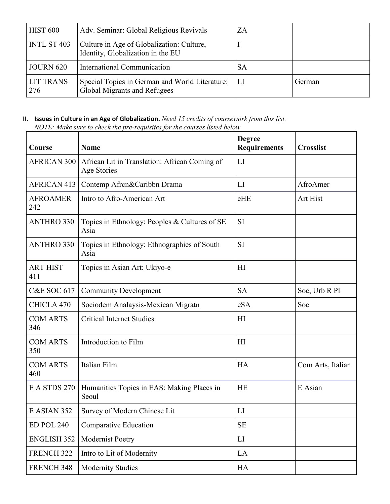| <b>HIST 600</b>         | Adv. Seminar: Global Religious Revivals                                        | ZA |        |
|-------------------------|--------------------------------------------------------------------------------|----|--------|
| INTL ST 403             | Culture in Age of Globalization: Culture,<br>Identity, Globalization in the EU |    |        |
| <b>JOURN 620</b>        | International Communication                                                    | SА |        |
| <b>LIT TRANS</b><br>276 | Special Topics in German and World Literature:<br>Global Migrants and Refugees |    | German |

### **II. Issues in Culture in an Age of Globalization.** *Need 15 credits of coursework from this list. NOTE: Make sure to check the pre-requisites for the courses listed below*

| Course                 | <b>Name</b>                                                  | <b>Degree</b><br><b>Requirements</b> | <b>Crosslist</b>  |
|------------------------|--------------------------------------------------------------|--------------------------------------|-------------------|
| <b>AFRICAN 300</b>     | African Lit in Translation: African Coming of<br>Age Stories | LI                                   |                   |
| <b>AFRICAN 413</b>     | Contemp Afrcn&Caribbn Drama                                  | LI                                   | AfroAmer          |
| <b>AFROAMER</b><br>242 | Intro to Afro-American Art                                   | eHE                                  | Art Hist          |
| <b>ANTHRO 330</b>      | Topics in Ethnology: Peoples & Cultures of SE<br>Asia        | SI                                   |                   |
| <b>ANTHRO 330</b>      | Topics in Ethnology: Ethnographies of South<br>Asia          | SI                                   |                   |
| <b>ART HIST</b><br>411 | Topics in Asian Art: Ukiyo-e                                 | H1                                   |                   |
| <b>C&amp;E SOC 617</b> | <b>Community Development</b>                                 | <b>SA</b>                            | Soc, Urb R Pl     |
| CHICLA 470             | Sociodem Analaysis-Mexican Migratn                           | eSA                                  | Soc               |
| <b>COM ARTS</b><br>346 | <b>Critical Internet Studies</b>                             | H                                    |                   |
| <b>COM ARTS</b><br>350 | Introduction to Film                                         | H1                                   |                   |
| <b>COM ARTS</b><br>460 | Italian Film                                                 | <b>HA</b>                            | Com Arts, Italian |
| E A STDS 270           | Humanities Topics in EAS: Making Places in<br>Seoul          | <b>HE</b>                            | E Asian           |
| E ASIAN 352            | Survey of Modern Chinese Lit                                 | LI                                   |                   |
| <b>ED POL 240</b>      | Comparative Education                                        | <b>SE</b>                            |                   |
| <b>ENGLISH 352</b>     | Modernist Poetry                                             | LI                                   |                   |
| FRENCH 322             | Intro to Lit of Modernity                                    | LA                                   |                   |
| FRENCH 348             | <b>Modernity Studies</b>                                     | HA                                   |                   |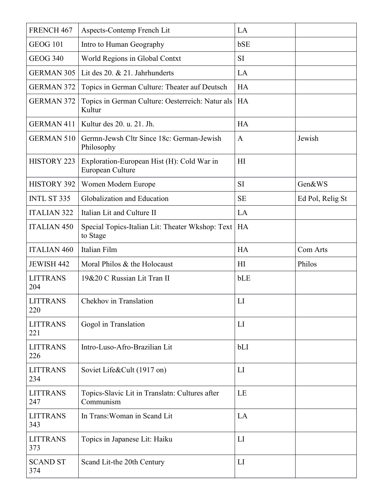| FRENCH 467             | Aspects-Contemp French Lit                                     | LA             |                  |
|------------------------|----------------------------------------------------------------|----------------|------------------|
| <b>GEOG 101</b>        | Intro to Human Geography                                       | bSE            |                  |
| <b>GEOG 340</b>        | World Regions in Global Contxt                                 | SI             |                  |
| <b>GERMAN 305</b>      | Lit des 20. & 21. Jahrhunderts                                 | LA             |                  |
| <b>GERMAN 372</b>      | Topics in German Culture: Theater auf Deutsch                  | <b>HA</b>      |                  |
| <b>GERMAN 372</b>      | Topics in German Culture: Oesterreich: Natur als<br>Kultur     | HA             |                  |
| <b>GERMAN 411</b>      | Kultur des 20. u. 21. Jh.                                      | <b>HA</b>      |                  |
| <b>GERMAN 510</b>      | Germn-Jewsh Cltr Since 18c: German-Jewish<br>Philosophy        | $\mathbf{A}$   | Jewish           |
| <b>HISTORY 223</b>     | Exploration-European Hist (H): Cold War in<br>European Culture | H <sub>I</sub> |                  |
| <b>HISTORY 392</b>     | Women Modern Europe                                            | SI             | Gen&WS           |
| <b>INTL ST 335</b>     | Globalization and Education                                    | <b>SE</b>      | Ed Pol, Relig St |
| <b>ITALIAN 322</b>     | Italian Lit and Culture II                                     | LA             |                  |
| <b>ITALIAN 450</b>     | Special Topics-Italian Lit: Theater Wkshop: Text<br>to Stage   | HA             |                  |
| <b>ITALIAN 460</b>     | Italian Film                                                   | <b>HA</b>      | Com Arts         |
| <b>JEWISH 442</b>      | Moral Philos & the Holocaust                                   | H              | Philos           |
| <b>LITTRANS</b><br>204 | 19&20 C Russian Lit Tran II                                    | bLE            |                  |
| <b>LITTRANS</b><br>220 | Chekhov in Translation                                         | LI             |                  |
| <b>LITTRANS</b><br>221 | Gogol in Translation                                           | LI             |                  |
| <b>LITTRANS</b><br>226 | Intro-Luso-Afro-Brazilian Lit                                  | bLI            |                  |
| <b>LITTRANS</b><br>234 | Soviet Life&Cult (1917 on)                                     | LI             |                  |
| <b>LITTRANS</b><br>247 | Topics-Slavic Lit in Translatn: Cultures after<br>Communism    | LE             |                  |
| <b>LITTRANS</b><br>343 | In Trans: Woman in Scand Lit                                   | LA             |                  |
| <b>LITTRANS</b><br>373 | Topics in Japanese Lit: Haiku                                  | LI             |                  |
| <b>SCAND ST</b><br>374 | Scand Lit-the 20th Century                                     | LI             |                  |